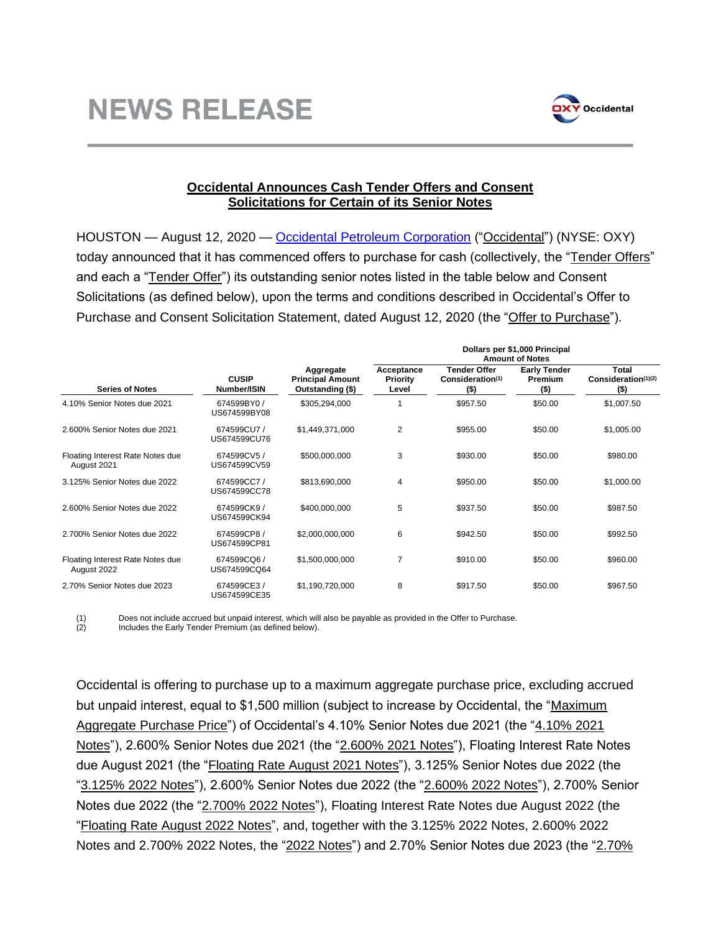

## **Occidental Announces Cash Tender Offers and Consent Solicitations for Certain of its Senior Notes**

HOUSTON — August 12, 2020 — [Occidental Petroleum Corporation](http://www.oxy.com/) ("Occidental") (NYSE: OXY) today announced that it has commenced offers to purchase for cash (collectively, the "Tender Offers" and each a "**Tender Offer**") its outstanding senior notes listed in the table below and Consent Solicitations (as defined below), upon the terms and conditions described in Occidental's Offer to Purchase and Consent Solicitation Statement, dated August 12, 2020 (the "Offer to Purchase").

| <b>Series of Notes</b>                          | <b>CUSIP</b><br>Number/ISIN | Aggregate<br><b>Principal Amount</b><br>Outstanding (\$) | Dollars per \$1,000 Principal<br><b>Amount of Notes</b> |                                                                |                                                  |                                         |
|-------------------------------------------------|-----------------------------|----------------------------------------------------------|---------------------------------------------------------|----------------------------------------------------------------|--------------------------------------------------|-----------------------------------------|
|                                                 |                             |                                                          | Acceptance<br><b>Priority</b><br>Level                  | <b>Tender Offer</b><br>Consideration <sup>(1)</sup><br>$($ \$) | <b>Early Tender</b><br><b>Premium</b><br>$($ \$) | Total<br>Consideration(1)(2)<br>$($ \$) |
| 4.10% Senior Notes due 2021                     | 674599BY0/<br>US674599BY08  | \$305,294,000                                            |                                                         | \$957.50                                                       | \$50.00                                          | \$1,007.50                              |
| 2.600% Senior Notes due 2021                    | 674599CU7 /<br>US674599CU76 | \$1,449,371,000                                          | 2                                                       | \$955.00                                                       | \$50.00                                          | \$1,005.00                              |
| Floating Interest Rate Notes due<br>August 2021 | 674599CV5 /<br>US674599CV59 | \$500,000,000                                            | 3                                                       | \$930.00                                                       | \$50.00                                          | \$980.00                                |
| 3.125% Senior Notes due 2022                    | 674599CC7/<br>US674599CC78  | \$813,690,000                                            | 4                                                       | \$950.00                                                       | \$50.00                                          | \$1,000.00                              |
| 2.600% Senior Notes due 2022                    | 674599CK9 /<br>US674599CK94 | \$400,000,000                                            | 5                                                       | \$937.50                                                       | \$50.00                                          | \$987.50                                |
| 2.700% Senior Notes due 2022                    | 674599CP8 /<br>US674599CP81 | \$2,000,000,000                                          | 6                                                       | \$942.50                                                       | \$50.00                                          | \$992.50                                |
| Floating Interest Rate Notes due<br>August 2022 | 674599CQ6 /<br>US674599CQ64 | \$1,500,000,000                                          | 7                                                       | \$910.00                                                       | \$50.00                                          | \$960.00                                |
| 2.70% Senior Notes due 2023                     | 674599CE3/<br>US674599CE35  | \$1,190,720,000                                          | 8                                                       | \$917.50                                                       | \$50.00                                          | \$967.50                                |

(1) Does not include accrued but unpaid interest, which will also be payable as provided in the Offer to Purchase.<br>(2) lncludes the Early Tender Premium (as defined below).

Includes the Early Tender Premium (as defined below).

Occidental is offering to purchase up to a maximum aggregate purchase price, excluding accrued but unpaid interest, equal to \$1,500 million (subject to increase by Occidental, the "Maximum Aggregate Purchase Price") of Occidental's 4.10% Senior Notes due 2021 (the "4.10% 2021 Notes"), 2.600% Senior Notes due 2021 (the "2.600% 2021 Notes"), Floating Interest Rate Notes due August 2021 (the "Floating Rate August 2021 Notes"), 3.125% Senior Notes due 2022 (the "3.125% 2022 Notes"), 2.600% Senior Notes due 2022 (the "2.600% 2022 Notes"), 2.700% Senior Notes due 2022 (the "2.700% 2022 Notes"), Floating Interest Rate Notes due August 2022 (the "Floating Rate August 2022 Notes", and, together with the 3.125% 2022 Notes, 2.600% 2022 Notes and 2.700% 2022 Notes, the "2022 Notes") and 2.70% Senior Notes due 2023 (the "2.70%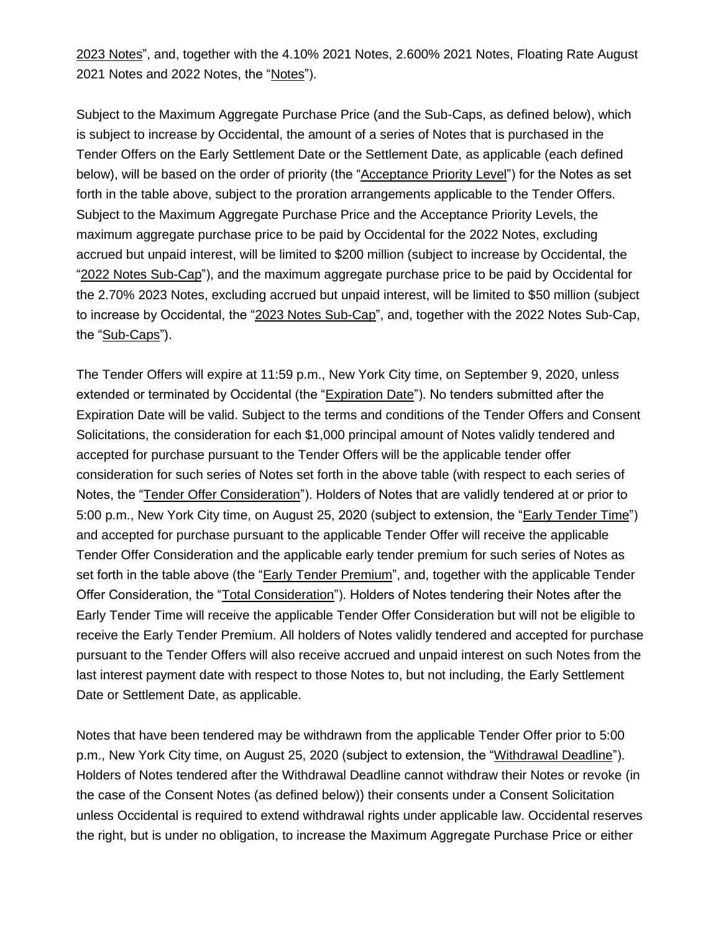2023 Notes", and, together with the 4.10% 2021 Notes, 2.600% 2021 Notes, Floating Rate August 2021 Notes and 2022 Notes, the "Notes").

Subject to the Maximum Aggregate Purchase Price (and the Sub-Caps, as defined below), which is subject to increase by Occidental, the amount of a series of Notes that is purchased in the Tender Offers on the Early Settlement Date or the Settlement Date, as applicable (each defined below), will be based on the order of priority (the "Acceptance Priority Level") for the Notes as set forth in the table above, subject to the proration arrangements applicable to the Tender Offers. Subject to the Maximum Aggregate Purchase Price and the Acceptance Priority Levels, the maximum aggregate purchase price to be paid by Occidental for the 2022 Notes, excluding accrued but unpaid interest, will be limited to \$200 million (subject to increase by Occidental, the "2022 Notes Sub-Cap"), and the maximum aggregate purchase price to be paid by Occidental for the 2.70% 2023 Notes, excluding accrued but unpaid interest, will be limited to \$50 million (subject to increase by Occidental, the "2023 Notes Sub-Cap", and, together with the 2022 Notes Sub-Cap, the "Sub-Caps").

The Tender Offers will expire at 11:59 p.m., New York City time, on September 9, 2020, unless extended or terminated by Occidental (the "Expiration Date"). No tenders submitted after the Expiration Date will be valid. Subject to the terms and conditions of the Tender Offers and Consent Solicitations, the consideration for each \$1,000 principal amount of Notes validly tendered and accepted for purchase pursuant to the Tender Offers will be the applicable tender offer consideration for such series of Notes set forth in the above table (with respect to each series of Notes, the "Tender Offer Consideration"). Holders of Notes that are validly tendered at or prior to 5:00 p.m., New York City time, on August 25, 2020 (subject to extension, the "Early Tender Time") and accepted for purchase pursuant to the applicable Tender Offer will receive the applicable Tender Offer Consideration and the applicable early tender premium for such series of Notes as set forth in the table above (the "Early Tender Premium", and, together with the applicable Tender Offer Consideration, the "Total Consideration"). Holders of Notes tendering their Notes after the Early Tender Time will receive the applicable Tender Offer Consideration but will not be eligible to receive the Early Tender Premium. All holders of Notes validly tendered and accepted for purchase pursuant to the Tender Offers will also receive accrued and unpaid interest on such Notes from the last interest payment date with respect to those Notes to, but not including, the Early Settlement Date or Settlement Date, as applicable.

Notes that have been tendered may be withdrawn from the applicable Tender Offer prior to 5:00 p.m., New York City time, on August 25, 2020 (subject to extension, the "Withdrawal Deadline"). Holders of Notes tendered after the Withdrawal Deadline cannot withdraw their Notes or revoke (in the case of the Consent Notes (as defined below)) their consents under a Consent Solicitation unless Occidental is required to extend withdrawal rights under applicable law. Occidental reserves the right, but is under no obligation, to increase the Maximum Aggregate Purchase Price or either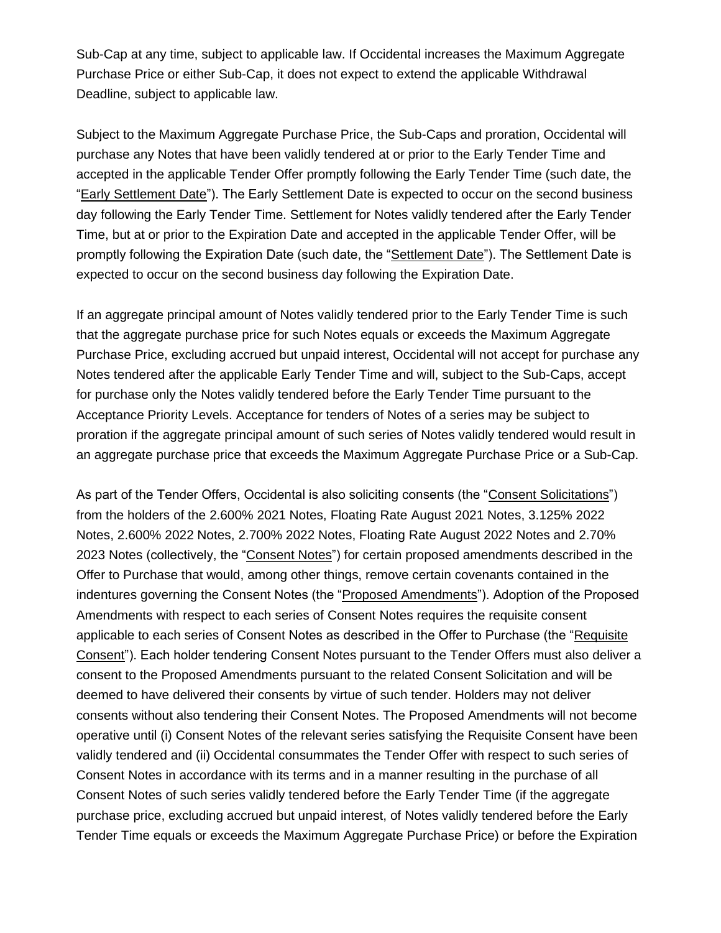Sub-Cap at any time, subject to applicable law. If Occidental increases the Maximum Aggregate Purchase Price or either Sub-Cap, it does not expect to extend the applicable Withdrawal Deadline, subject to applicable law.

Subject to the Maximum Aggregate Purchase Price, the Sub-Caps and proration, Occidental will purchase any Notes that have been validly tendered at or prior to the Early Tender Time and accepted in the applicable Tender Offer promptly following the Early Tender Time (such date, the "Early Settlement Date"). The Early Settlement Date is expected to occur on the second business day following the Early Tender Time. Settlement for Notes validly tendered after the Early Tender Time, but at or prior to the Expiration Date and accepted in the applicable Tender Offer, will be promptly following the Expiration Date (such date, the "Settlement Date"). The Settlement Date is expected to occur on the second business day following the Expiration Date.

If an aggregate principal amount of Notes validly tendered prior to the Early Tender Time is such that the aggregate purchase price for such Notes equals or exceeds the Maximum Aggregate Purchase Price, excluding accrued but unpaid interest, Occidental will not accept for purchase any Notes tendered after the applicable Early Tender Time and will, subject to the Sub-Caps, accept for purchase only the Notes validly tendered before the Early Tender Time pursuant to the Acceptance Priority Levels. Acceptance for tenders of Notes of a series may be subject to proration if the aggregate principal amount of such series of Notes validly tendered would result in an aggregate purchase price that exceeds the Maximum Aggregate Purchase Price or a Sub-Cap.

As part of the Tender Offers, Occidental is also soliciting consents (the "Consent Solicitations") from the holders of the 2.600% 2021 Notes, Floating Rate August 2021 Notes, 3.125% 2022 Notes, 2.600% 2022 Notes, 2.700% 2022 Notes, Floating Rate August 2022 Notes and 2.70% 2023 Notes (collectively, the "Consent Notes") for certain proposed amendments described in the Offer to Purchase that would, among other things, remove certain covenants contained in the indentures governing the Consent Notes (the "Proposed Amendments"). Adoption of the Proposed Amendments with respect to each series of Consent Notes requires the requisite consent applicable to each series of Consent Notes as described in the Offer to Purchase (the "Requisite Consent"). Each holder tendering Consent Notes pursuant to the Tender Offers must also deliver a consent to the Proposed Amendments pursuant to the related Consent Solicitation and will be deemed to have delivered their consents by virtue of such tender. Holders may not deliver consents without also tendering their Consent Notes. The Proposed Amendments will not become operative until (i) Consent Notes of the relevant series satisfying the Requisite Consent have been validly tendered and (ii) Occidental consummates the Tender Offer with respect to such series of Consent Notes in accordance with its terms and in a manner resulting in the purchase of all Consent Notes of such series validly tendered before the Early Tender Time (if the aggregate purchase price, excluding accrued but unpaid interest, of Notes validly tendered before the Early Tender Time equals or exceeds the Maximum Aggregate Purchase Price) or before the Expiration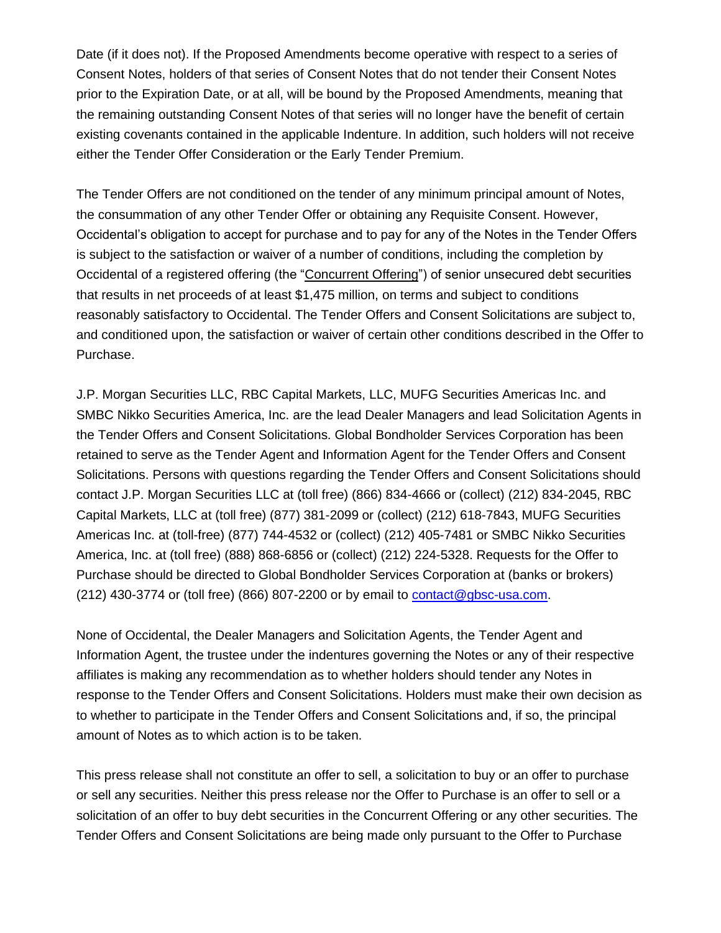Date (if it does not). If the Proposed Amendments become operative with respect to a series of Consent Notes, holders of that series of Consent Notes that do not tender their Consent Notes prior to the Expiration Date, or at all, will be bound by the Proposed Amendments, meaning that the remaining outstanding Consent Notes of that series will no longer have the benefit of certain existing covenants contained in the applicable Indenture. In addition, such holders will not receive either the Tender Offer Consideration or the Early Tender Premium.

The Tender Offers are not conditioned on the tender of any minimum principal amount of Notes, the consummation of any other Tender Offer or obtaining any Requisite Consent. However, Occidental's obligation to accept for purchase and to pay for any of the Notes in the Tender Offers is subject to the satisfaction or waiver of a number of conditions, including the completion by Occidental of a registered offering (the "Concurrent Offering") of senior unsecured debt securities that results in net proceeds of at least \$1,475 million, on terms and subject to conditions reasonably satisfactory to Occidental. The Tender Offers and Consent Solicitations are subject to, and conditioned upon, the satisfaction or waiver of certain other conditions described in the Offer to Purchase.

J.P. Morgan Securities LLC, RBC Capital Markets, LLC, MUFG Securities Americas Inc. and SMBC Nikko Securities America, Inc. are the lead Dealer Managers and lead Solicitation Agents in the Tender Offers and Consent Solicitations. Global Bondholder Services Corporation has been retained to serve as the Tender Agent and Information Agent for the Tender Offers and Consent Solicitations. Persons with questions regarding the Tender Offers and Consent Solicitations should contact J.P. Morgan Securities LLC at (toll free) (866) 834-4666 or (collect) (212) 834-2045, RBC Capital Markets, LLC at (toll free) (877) 381-2099 or (collect) (212) 618-7843, MUFG Securities Americas Inc. at (toll-free) (877) 744-4532 or (collect) (212) 405-7481 or SMBC Nikko Securities America, Inc. at (toll free) (888) 868-6856 or (collect) (212) 224-5328. Requests for the Offer to Purchase should be directed to Global Bondholder Services Corporation at (banks or brokers) (212) 430-3774 or (toll free) (866) 807-2200 or by email to  $\frac{\text{contact@gbsc-usa.com}}{\text{const@gbsc-usa.com}}$ .

None of Occidental, the Dealer Managers and Solicitation Agents, the Tender Agent and Information Agent, the trustee under the indentures governing the Notes or any of their respective affiliates is making any recommendation as to whether holders should tender any Notes in response to the Tender Offers and Consent Solicitations. Holders must make their own decision as to whether to participate in the Tender Offers and Consent Solicitations and, if so, the principal amount of Notes as to which action is to be taken.

This press release shall not constitute an offer to sell, a solicitation to buy or an offer to purchase or sell any securities. Neither this press release nor the Offer to Purchase is an offer to sell or a solicitation of an offer to buy debt securities in the Concurrent Offering or any other securities. The Tender Offers and Consent Solicitations are being made only pursuant to the Offer to Purchase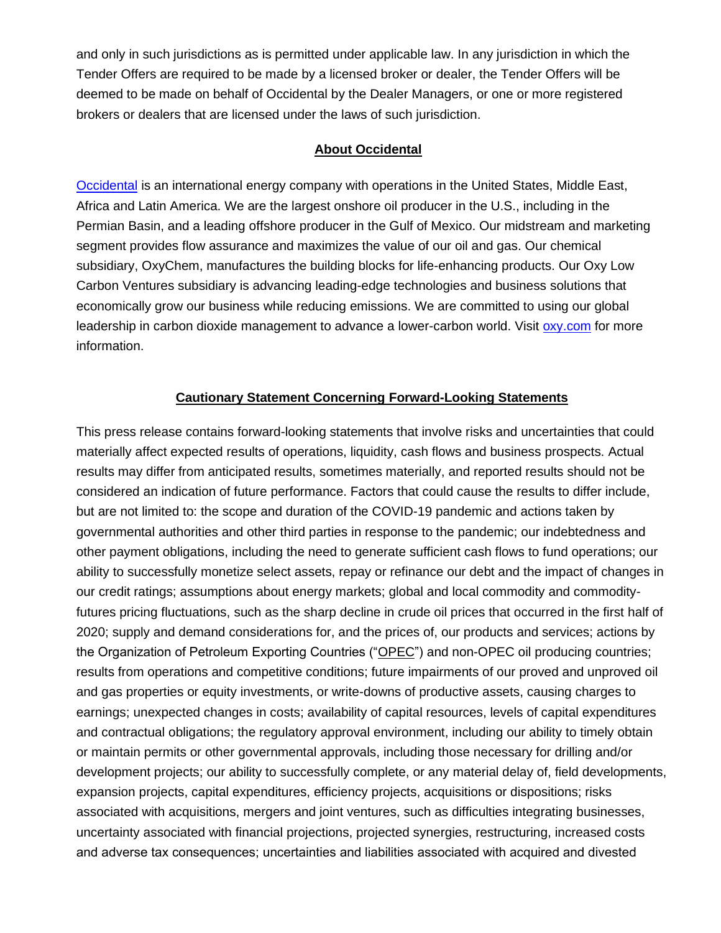and only in such jurisdictions as is permitted under applicable law. In any jurisdiction in which the Tender Offers are required to be made by a licensed broker or dealer, the Tender Offers will be deemed to be made on behalf of Occidental by the Dealer Managers, or one or more registered brokers or dealers that are licensed under the laws of such jurisdiction.

## **About Occidental**

[Occidental](http://www.oxy.com/) is an international energy company with operations in the United States, Middle East, Africa and Latin America. We are the largest onshore oil producer in the U.S., including in the Permian Basin, and a leading offshore producer in the Gulf of Mexico. Our midstream and marketing segment provides flow assurance and maximizes the value of our oil and gas. Our chemical subsidiary, OxyChem, manufactures the building blocks for life-enhancing products. Our Oxy Low Carbon Ventures subsidiary is advancing leading-edge technologies and business solutions that economically grow our business while reducing emissions. We are committed to using our global leadership in carbon dioxide management to advance a lower-carbon world. Visit [oxy.com](http://www.oxy.com/) for more information.

## **Cautionary Statement Concerning Forward-Looking Statements**

This press release contains forward-looking statements that involve risks and uncertainties that could materially affect expected results of operations, liquidity, cash flows and business prospects. Actual results may differ from anticipated results, sometimes materially, and reported results should not be considered an indication of future performance. Factors that could cause the results to differ include, but are not limited to: the scope and duration of the COVID-19 pandemic and actions taken by governmental authorities and other third parties in response to the pandemic; our indebtedness and other payment obligations, including the need to generate sufficient cash flows to fund operations; our ability to successfully monetize select assets, repay or refinance our debt and the impact of changes in our credit ratings; assumptions about energy markets; global and local commodity and commodityfutures pricing fluctuations, such as the sharp decline in crude oil prices that occurred in the first half of 2020; supply and demand considerations for, and the prices of, our products and services; actions by the Organization of Petroleum Exporting Countries ("OPEC") and non-OPEC oil producing countries; results from operations and competitive conditions; future impairments of our proved and unproved oil and gas properties or equity investments, or write-downs of productive assets, causing charges to earnings; unexpected changes in costs; availability of capital resources, levels of capital expenditures and contractual obligations; the regulatory approval environment, including our ability to timely obtain or maintain permits or other governmental approvals, including those necessary for drilling and/or development projects; our ability to successfully complete, or any material delay of, field developments, expansion projects, capital expenditures, efficiency projects, acquisitions or dispositions; risks associated with acquisitions, mergers and joint ventures, such as difficulties integrating businesses, uncertainty associated with financial projections, projected synergies, restructuring, increased costs and adverse tax consequences; uncertainties and liabilities associated with acquired and divested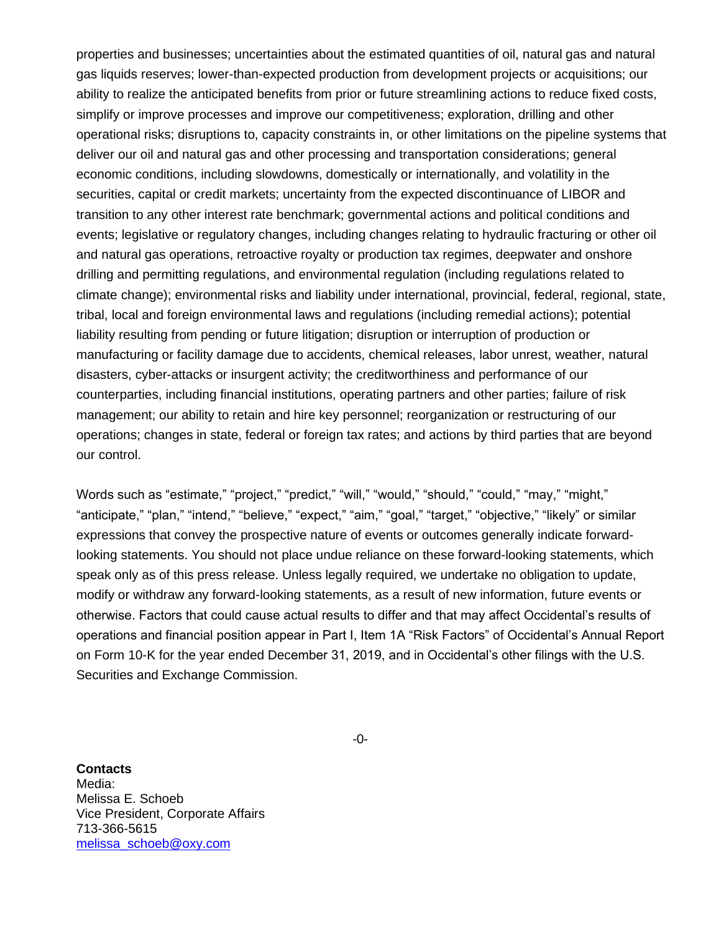properties and businesses; uncertainties about the estimated quantities of oil, natural gas and natural gas liquids reserves; lower-than-expected production from development projects or acquisitions; our ability to realize the anticipated benefits from prior or future streamlining actions to reduce fixed costs, simplify or improve processes and improve our competitiveness; exploration, drilling and other operational risks; disruptions to, capacity constraints in, or other limitations on the pipeline systems that deliver our oil and natural gas and other processing and transportation considerations; general economic conditions, including slowdowns, domestically or internationally, and volatility in the securities, capital or credit markets; uncertainty from the expected discontinuance of LIBOR and transition to any other interest rate benchmark; governmental actions and political conditions and events; legislative or regulatory changes, including changes relating to hydraulic fracturing or other oil and natural gas operations, retroactive royalty or production tax regimes, deepwater and onshore drilling and permitting regulations, and environmental regulation (including regulations related to climate change); environmental risks and liability under international, provincial, federal, regional, state, tribal, local and foreign environmental laws and regulations (including remedial actions); potential liability resulting from pending or future litigation; disruption or interruption of production or manufacturing or facility damage due to accidents, chemical releases, labor unrest, weather, natural disasters, cyber-attacks or insurgent activity; the creditworthiness and performance of our counterparties, including financial institutions, operating partners and other parties; failure of risk management; our ability to retain and hire key personnel; reorganization or restructuring of our operations; changes in state, federal or foreign tax rates; and actions by third parties that are beyond our control.

Words such as "estimate," "project," "predict," "will," "would," "should," "could," "may," "might," "anticipate," "plan," "intend," "believe," "expect," "aim," "goal," "target," "objective," "likely" or similar expressions that convey the prospective nature of events or outcomes generally indicate forwardlooking statements. You should not place undue reliance on these forward-looking statements, which speak only as of this press release. Unless legally required, we undertake no obligation to update, modify or withdraw any forward-looking statements, as a result of new information, future events or otherwise. Factors that could cause actual results to differ and that may affect Occidental's results of operations and financial position appear in Part I, Item 1A "Risk Factors" of Occidental's Annual Report on Form 10-K for the year ended December 31, 2019, and in Occidental's other filings with the U.S. Securities and Exchange Commission.

-0-

**Contacts** Media: Melissa E. Schoeb Vice President, Corporate Affairs 713-366-5615 [melissa\\_schoeb@oxy.com](mailto:melissa_schoeb@oxy.com)